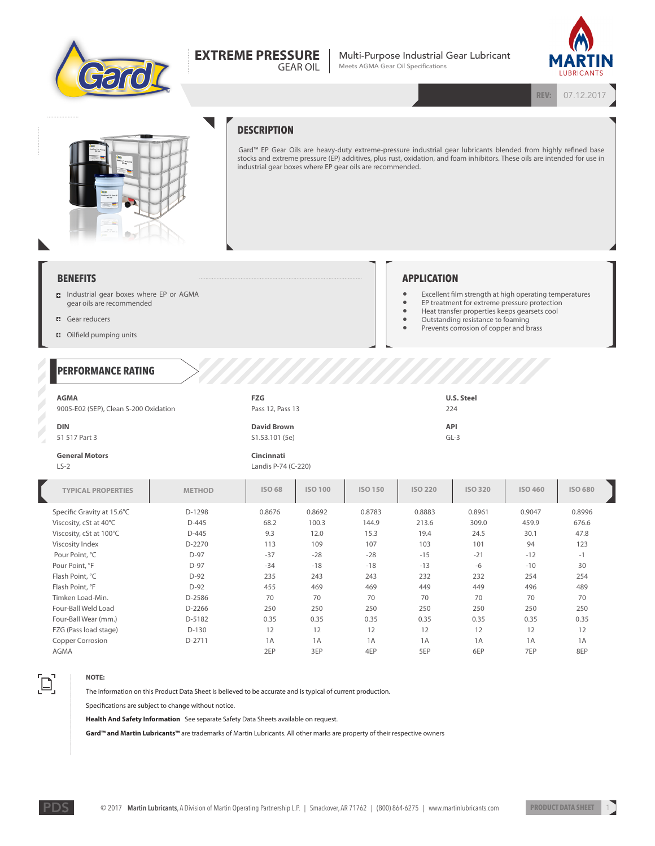

#### **EXTREME PRESSURE** GEAR OIL

Multi-Purpose Industrial Gear Lubricant Meets AGMA Gear Oil Specifications



**REV:** 07.12.2017



## **DESCRIPTION**

Gard™ EP Gear Oils are heavy-duty extreme-pressure industrial gear lubricants blended from highly refined base stocks and extreme pressure (EP) additives, plus rust, oxidation, and foam inhibitors. These oils are intended for use in industrial gear boxes where EP gear oils are recommended.

### **BENEFITS**

- Industrial gear boxes where EP or AGMA gear oils are recommended
- **Gear reducers**
- $\Box$  Oilfield pumping units

### **PERFORMANCE RATING**

# **APPLICATION**

- Excellent film strength at high operating temperatures<br>• EP treatment for extreme pressure protection
- EP treatment for extreme pressure protection<br>• Heat transfer properties keeps gearsets cool • Heat transfer properties keeps gearsets cool
	-
- Cutstanding resistance to foaming • Prevents corrosion of copper and brass
- 

| <b>AGMA</b>                           | FZG                | U.S. Steel |  |  |
|---------------------------------------|--------------------|------------|--|--|
| 9005-E02 (5EP), Clean S-200 Oxidation | Pass 12, Pass 13   | 224        |  |  |
| <b>DIN</b>                            | <b>David Brown</b> | <b>API</b> |  |  |
| 51 517 Part 3                         | S1.53.101 (5e)     | $GL-3$     |  |  |
|                                       |                    |            |  |  |

 $\mathbb{Z}$  $\mathbb{Z}$  Z

#### **General Motors** LS-2

> **Cincinnati** Landis P-74 (C-220)

| <b>TYPICAL PROPERTIES</b>  | <b>METHOD</b> | <b>ISO 68</b> | <b>ISO 100</b> | <b>ISO 150</b> | <b>ISO 220</b> | <b>ISO 320</b> | ISO 460 | <b>ISO 680</b> |
|----------------------------|---------------|---------------|----------------|----------------|----------------|----------------|---------|----------------|
| Specific Gravity at 15.6°C | D-1298        | 0.8676        | 0.8692         | 0.8783         | 0.8883         | 0.8961         | 0.9047  | 0.8996         |
| Viscosity, cSt at 40°C     | $D-445$       | 68.2          | 100.3          | 144.9          | 213.6          | 309.0          | 459.9   | 676.6          |
| Viscosity, cSt at 100°C    | $D-445$       | 9.3           | 12.0           | 15.3           | 19.4           | 24.5           | 30.1    | 47.8           |
| Viscosity Index            | D-2270        | 113           | 109            | 107            | 103            | 101            | 94      | 123            |
| Pour Point, °C             | $D-97$        | $-37$         | $-28$          | $-28$          | $-15$          | $-21$          | $-12$   | $-1$           |
| Pour Point, °F             | $D-97$        | $-34$         | $-18$          | $-18$          | $-13$          | $-6$           | $-10$   | 30             |
| Flash Point, °C            | $D-92$        | 235           | 243            | 243            | 232            | 232            | 254     | 254            |
| Flash Point, °F            | $D-92$        | 455           | 469            | 469            | 449            | 449            | 496     | 489            |
| Timken Load-Min.           | D-2586        | 70            | 70             | 70             | 70             | 70             | 70      | 70             |
| Four-Ball Weld Load        | D-2266        | 250           | 250            | 250            | 250            | 250            | 250     | 250            |
| Four-Ball Wear (mm.)       | D-5182        | 0.35          | 0.35           | 0.35           | 0.35           | 0.35           | 0.35    | 0.35           |
| FZG (Pass load stage)      | $D-130$       | 12            | 12             | 12             | 12             | 12             | 12      | 12             |
| Copper Corrosion           | D-2711        | 1A            | 1A             | 1A             | 1A             | 1A             | 1A      | 1A             |
| <b>AGMA</b>                |               | 2EP           | 3EP            | 4EP            | 5EP            | 6EP            | 7EP     | 8EP            |

# $\Xi$ .

**NOTE:**

The information on this Product Data Sheet is believed to be accurate and is typical of current production.

Specifications are subject to change without notice.

**Health And Safety Information** See separate Safety Data Sheets available on request.

**Gard™ and Martin Lubricants™** are trademarks of Martin Lubricants. All other marks are property of their respective owners